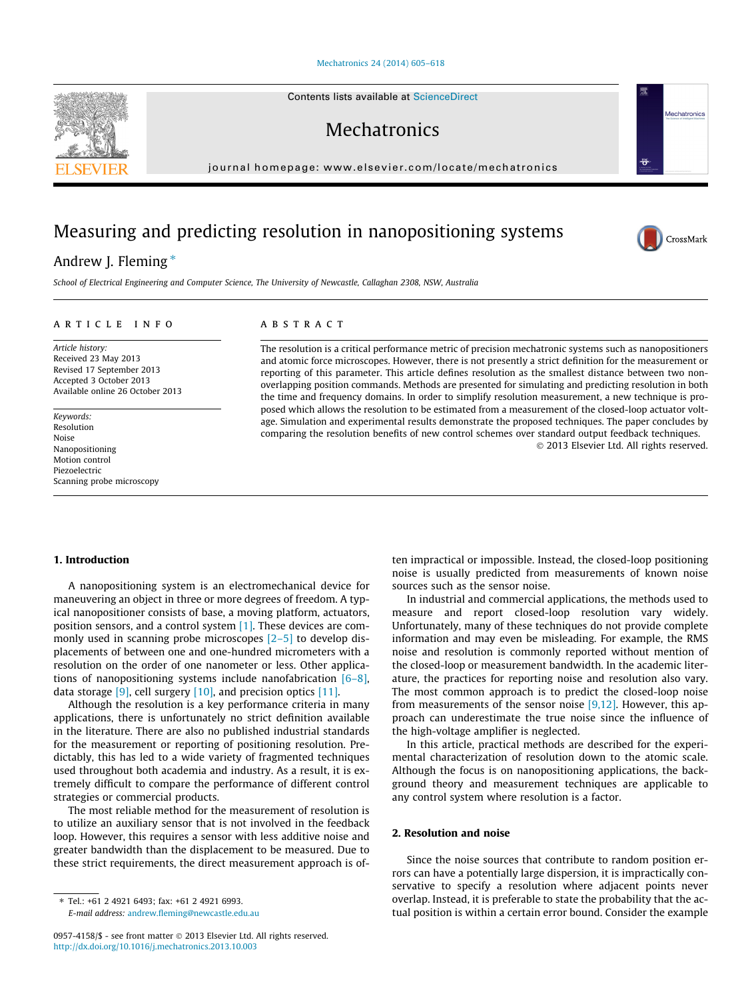#### [Mechatronics 24 \(2014\) 605–618](http://dx.doi.org/10.1016/j.mechatronics.2013.10.003)

Contents lists available at [ScienceDirect](http://www.sciencedirect.com/science/journal/09574158)

**Mechatronics** 

journal homepage: [www.elsevier.com/locate/mechatronics](http://www.elsevier.com/locate/mechatronics)

# Measuring and predicting resolution in nanopositioning systems

# Andrew J. Fleming  $*$

School of Electrical Engineering and Computer Science, The University of Newcastle, Callaghan 2308, NSW, Australia

# article info

Article history: Received 23 May 2013 Revised 17 September 2013 Accepted 3 October 2013 Available online 26 October 2013

Keywords: Resolution Noise Nanopositioning Motion control Piezoelectric Scanning probe microscopy

# **ABSTRACT**

The resolution is a critical performance metric of precision mechatronic systems such as nanopositioners and atomic force microscopes. However, there is not presently a strict definition for the measurement or reporting of this parameter. This article defines resolution as the smallest distance between two nonoverlapping position commands. Methods are presented for simulating and predicting resolution in both the time and frequency domains. In order to simplify resolution measurement, a new technique is proposed which allows the resolution to be estimated from a measurement of the closed-loop actuator voltage. Simulation and experimental results demonstrate the proposed techniques. The paper concludes by comparing the resolution benefits of new control schemes over standard output feedback techniques. - 2013 Elsevier Ltd. All rights reserved.

# 1. Introduction

A nanopositioning system is an electromechanical device for maneuvering an object in three or more degrees of freedom. A typical nanopositioner consists of base, a moving platform, actuators, position sensors, and a control system [\[1\].](#page-12-0) These devices are commonly used in scanning probe microscopes  $[2-5]$  to develop displacements of between one and one-hundred micrometers with a resolution on the order of one nanometer or less. Other applications of nanopositioning systems include nanofabrication  $[6-8]$ , data storage  $[9]$ , cell surgery  $[10]$ , and precision optics  $[11]$ .

Although the resolution is a key performance criteria in many applications, there is unfortunately no strict definition available in the literature. There are also no published industrial standards for the measurement or reporting of positioning resolution. Predictably, this has led to a wide variety of fragmented techniques used throughout both academia and industry. As a result, it is extremely difficult to compare the performance of different control strategies or commercial products.

The most reliable method for the measurement of resolution is to utilize an auxiliary sensor that is not involved in the feedback loop. However, this requires a sensor with less additive noise and greater bandwidth than the displacement to be measured. Due to these strict requirements, the direct measurement approach is of-

⇑ Tel.: +61 2 4921 6493; fax: +61 2 4921 6993. E-mail address: [andrew.fleming@newcastle.edu.au](mailto:andrew.fleming@newcastle.edu.au) ten impractical or impossible. Instead, the closed-loop positioning noise is usually predicted from measurements of known noise sources such as the sensor noise.

In industrial and commercial applications, the methods used to measure and report closed-loop resolution vary widely. Unfortunately, many of these techniques do not provide complete information and may even be misleading. For example, the RMS noise and resolution is commonly reported without mention of the closed-loop or measurement bandwidth. In the academic literature, the practices for reporting noise and resolution also vary. The most common approach is to predict the closed-loop noise from measurements of the sensor noise  $[9,12]$ . However, this approach can underestimate the true noise since the influence of the high-voltage amplifier is neglected.

In this article, practical methods are described for the experimental characterization of resolution down to the atomic scale. Although the focus is on nanopositioning applications, the background theory and measurement techniques are applicable to any control system where resolution is a factor.

# 2. Resolution and noise

Since the noise sources that contribute to random position errors can have a potentially large dispersion, it is impractically conservative to specify a resolution where adjacent points never overlap. Instead, it is preferable to state the probability that the actual position is within a certain error bound. Consider the example





Mechatronics

<sup>0957-4158/\$ -</sup> see front matter © 2013 Elsevier Ltd. All rights reserved. <http://dx.doi.org/10.1016/j.mechatronics.2013.10.003>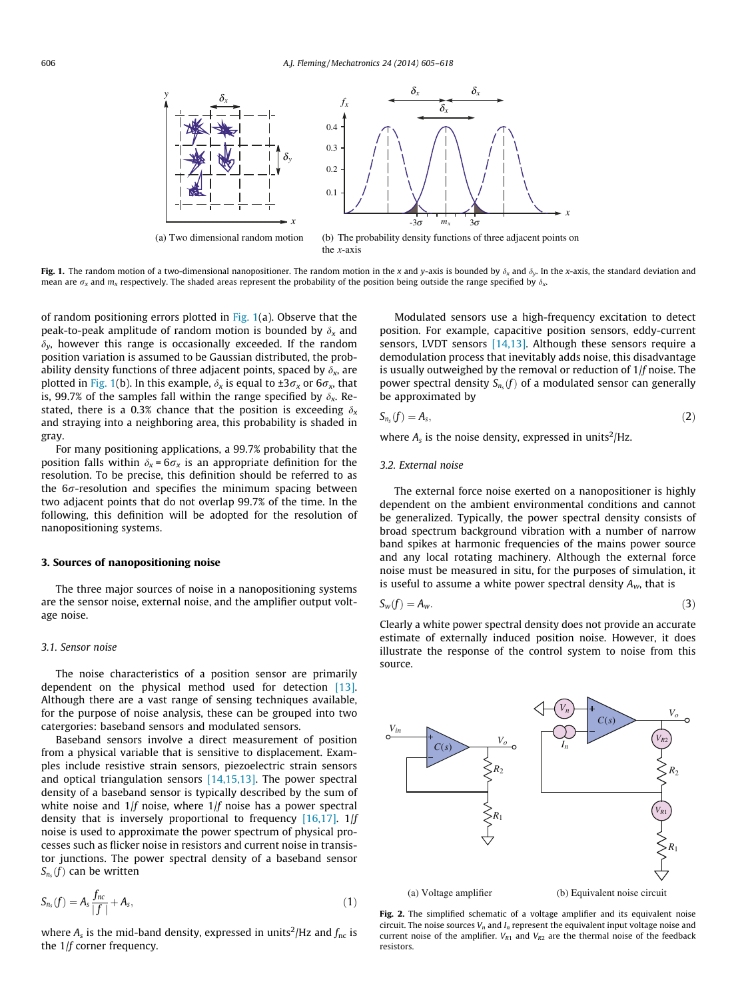<span id="page-1-0"></span>

the *x*-axis

(b) The probability density functions of three adjacent points on

Fig. 1. The random motion of a two-dimensional nanopositioner. The random motion in the x and y-axis is bounded by  $\delta_x$  and  $\delta_y$ . In the x-axis, the standard deviation and mean are  $\sigma_x$  and  $m_x$  respectively. The shaded areas represent the probability of the position being outside the range specified by  $\delta_x$ .

of random positioning errors plotted in Fig.  $1(a)$ . Observe that the peak-to-peak amplitude of random motion is bounded by  $\delta_x$  and  $\delta_{v}$ , however this range is occasionally exceeded. If the random position variation is assumed to be Gaussian distributed, the probability density functions of three adjacent points, spaced by  $\delta_{x}$ , are plotted in Fig. 1(b). In this example,  $\delta_{x}$  is equal to  $\pm 3\sigma_{x}$  or  $6\sigma_{x}$ , that is, 99.7% of the samples fall within the range specified by  $\delta_{x}$ . Restated, there is a 0.3% chance that the position is exceeding  $\delta_x$ and straying into a neighboring area, this probability is shaded in gray.

For many positioning applications, a 99.7% probability that the position falls within  $\delta_x = 6\sigma_x$  is an appropriate definition for the resolution. To be precise, this definition should be referred to as the  $6\sigma$ -resolution and specifies the minimum spacing between two adjacent points that do not overlap 99.7% of the time. In the following, this definition will be adopted for the resolution of nanopositioning systems.

#### 3. Sources of nanopositioning noise

The three major sources of noise in a nanopositioning systems are the sensor noise, external noise, and the amplifier output voltage noise.

# 3.1. Sensor noise

The noise characteristics of a position sensor are primarily dependent on the physical method used for detection [\[13\].](#page-12-0) Although there are a vast range of sensing techniques available, for the purpose of noise analysis, these can be grouped into two catergories: baseband sensors and modulated sensors.

Baseband sensors involve a direct measurement of position from a physical variable that is sensitive to displacement. Examples include resistive strain sensors, piezoelectric strain sensors and optical triangulation sensors [\[14,15,13\].](#page-12-0) The power spectral density of a baseband sensor is typically described by the sum of white noise and  $1/f$  noise, where  $1/f$  noise has a power spectral density that is inversely proportional to frequency [\[16,17\]](#page-12-0). 1/f noise is used to approximate the power spectrum of physical processes such as flicker noise in resistors and current noise in transistor junctions. The power spectral density of a baseband sensor  $S_{n_s}(f)$  can be written

$$
S_{n_s}(f) = A_s \frac{f_{nc}}{|f|} + A_s,
$$
\n(1)

where  $A_s$  is the mid-band density, expressed in units<sup>2</sup>/Hz and  $f_{\text{nc}}$  is the 1/f corner frequency.

Modulated sensors use a high-frequency excitation to detect position. For example, capacitive position sensors, eddy-current sensors, LVDT sensors [\[14,13\].](#page-12-0) Although these sensors require a demodulation process that inevitably adds noise, this disadvantage is usually outweighed by the removal or reduction of  $1/f$  noise. The power spectral density  $S_{n_s}(f)$  of a modulated sensor can generally be approximated by

$$
S_{n_s}(f) = A_s, \tag{2}
$$

where  $A_s$  is the noise density, expressed in units<sup>2</sup>/Hz.

# 3.2. External noise

The external force noise exerted on a nanopositioner is highly dependent on the ambient environmental conditions and cannot be generalized. Typically, the power spectral density consists of broad spectrum background vibration with a number of narrow band spikes at harmonic frequencies of the mains power source and any local rotating machinery. Although the external force noise must be measured in situ, for the purposes of simulation, it is useful to assume a white power spectral density  $A_w$ , that is

$$
S_w(f) = A_w. \tag{3}
$$

Clearly a white power spectral density does not provide an accurate estimate of externally induced position noise. However, it does illustrate the response of the control system to noise from this source.



Fig. 2. The simplified schematic of a voltage amplifier and its equivalent noise circuit. The noise sources  $V_n$  and  $I_n$  represent the equivalent input voltage noise and current noise of the amplifier.  $V_{R1}$  and  $V_{R2}$  are the thermal noise of the feedback resistors.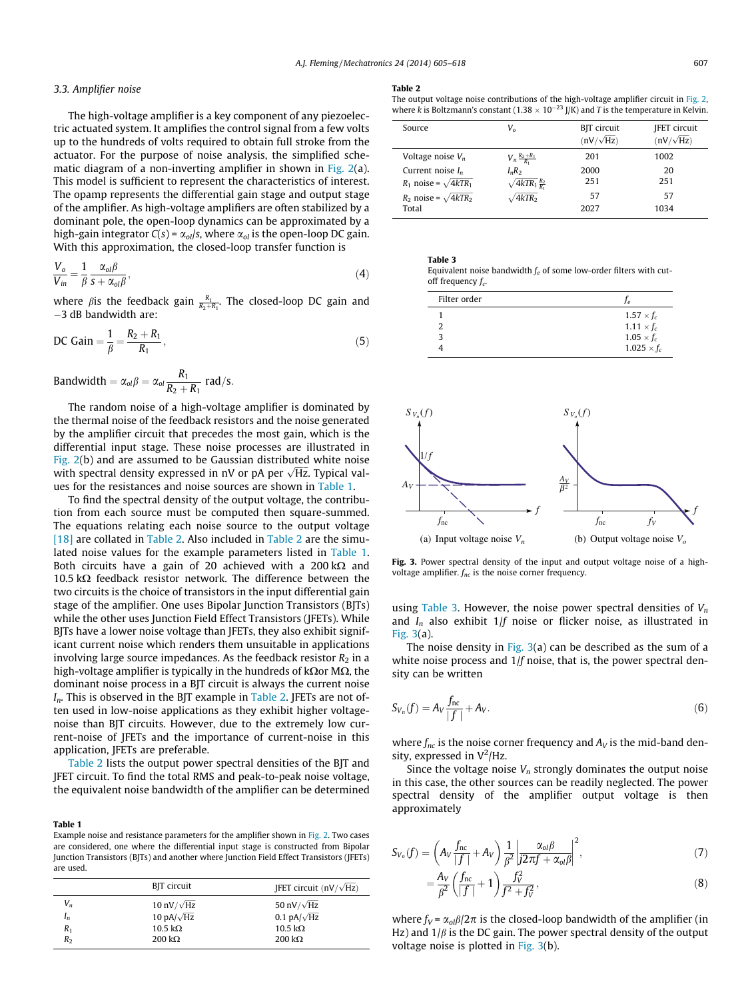#### <span id="page-2-0"></span>3.3. Amplifier noise

The high-voltage amplifier is a key component of any piezoelectric actuated system. It amplifies the control signal from a few volts up to the hundreds of volts required to obtain full stroke from the actuator. For the purpose of noise analysis, the simplified schematic diagram of a non-inverting amplifier in shown in [Fig. 2](#page-1-0)(a). This model is sufficient to represent the characteristics of interest. The opamp represents the differential gain stage and output stage of the amplifier. As high-voltage amplifiers are often stabilized by a dominant pole, the open-loop dynamics can be approximated by a high-gain integrator  $C(s) = \alpha_{ol}/s$ , where  $\alpha_{ol}$  is the open-loop DC gain. With this approximation, the closed-loop transfer function is

$$
\frac{V_o}{V_{in}} = \frac{1}{\beta} \frac{\alpha_{ol}\beta}{s + \alpha_{ol}\beta},\tag{4}
$$

where  $\beta$  is the feedback gain  $\frac{R_1}{R_2+R_1}$ . The closed-loop DC gain and -3 dB bandwidth are:

DC Gain = 
$$
\frac{1}{\beta} = \frac{R_2 + R_1}{R_1}
$$
, (5)

Bandwidth  $=\alpha_{ol}\beta=\alpha_{ol}\frac{R_1}{R_2}$  $\frac{R_1}{R_2 + R_1}$  rad/s.

The random noise of a high-voltage amplifier is dominated by the thermal noise of the feedback resistors and the noise generated by the amplifier circuit that precedes the most gain, which is the differential input stage. These noise processes are illustrated in [Fig. 2](#page-1-0)(b) and are assumed to be Gaussian distributed white noise  $\Gamma$ g,  $z$ (*b*) and are assumed to be Gaussian distributed white hoise<br>with spectral density expressed in nV or pA per  $\sqrt{Hz}$ . Typical values for the resistances and noise sources are shown in Table 1.

To find the spectral density of the output voltage, the contribution from each source must be computed then square-summed. The equations relating each noise source to the output voltage [\[18\]](#page-12-0) are collated in Table 2. Also included in Table 2 are the simulated noise values for the example parameters listed in Table 1. Both circuits have a gain of 20 achieved with a 200 k $\Omega$  and 10.5 k $\Omega$  feedback resistor network. The difference between the two circuits is the choice of transistors in the input differential gain stage of the amplifier. One uses Bipolar Junction Transistors (BJTs) while the other uses Junction Field Effect Transistors (JFETs). While BJTs have a lower noise voltage than JFETs, they also exhibit significant current noise which renders them unsuitable in applications involving large source impedances. As the feedback resistor  $R_2$  in a high-voltage amplifier is typically in the hundreds of k $\Omega$ or M $\Omega$ , the dominant noise process in a BJT circuit is always the current noise  $I_n$ . This is observed in the BJT example in Table 2. JFETs are not often used in low-noise applications as they exhibit higher voltagenoise than BJT circuits. However, due to the extremely low current-noise of JFETs and the importance of current-noise in this application, JFETs are preferable.

Table 2 lists the output power spectral densities of the BJT and JFET circuit. To find the total RMS and peak-to-peak noise voltage, the equivalent noise bandwidth of the amplifier can be determined

#### Table 1

Example noise and resistance parameters for the amplifier shown in [Fig. 2.](#page-1-0) Two cases are considered, one where the differential input stage is constructed from Bipolar Junction Transistors (BJTs) and another where Junction Field Effect Transistors (JFETs) are used.

|       | <b>BIT</b> circuit     | <b>JFET</b> circuit $(nV/\sqrt{Hz})$ |
|-------|------------------------|--------------------------------------|
| $V_n$ | 10 nV/ $\sqrt{Hz}$     | 50 nV/ $\sqrt{Hz}$                   |
| $I_n$ | 10 pA/ $\sqrt{Hz}$     | 0.1 $pA/\sqrt{Hz}$                   |
| $R_1$ | $10.5 \text{ k}\Omega$ | $10.5 \text{ k}\Omega$               |
| R,    | $200 \text{ k}\Omega$  | $200 \text{ k}\Omega$                |
|       |                        |                                      |

#### Table 2

The output voltage noise contributions of the high-voltage amplifier circuit in [Fig. 2](#page-1-0), where k is Boltzmann's constant (1.38  $\times$  10<sup>-23</sup> J/K) and T is the temperature in Kelvin.

| Source                        | V.                             | <b>BIT</b> circuit<br>$(nV/\sqrt{Hz})$ | <b>IFET</b> circuit<br>$(nV/\sqrt{Hz})$ |
|-------------------------------|--------------------------------|----------------------------------------|-----------------------------------------|
| Voltage noise $V_n$           | $V_n \frac{R_2 + R_1}{R_1}$    | 201                                    | 1002                                    |
| Current noise $I_n$           | $I_nR_2$                       | 2000                                   | 20                                      |
| $R_1$ noise = $\sqrt{4kTR_1}$ | $\sqrt{4kTR_1\frac{R_2}{R_1}}$ | 251                                    | 251                                     |
| $R_2$ noise = $\sqrt{4kTR_2}$ | $\sqrt{4kTR_2}$                | 57                                     | 57                                      |
| Total                         |                                | 2027                                   | 1034                                    |
|                               |                                |                                        |                                         |

#### Table 3

Equivalent noise bandwidth  $f<sub>e</sub>$  of some low-order filters with cutoff frequency  $f_c$ .

| Filter order |                    |
|--------------|--------------------|
|              | $1.57 \times f_c$  |
|              | $1.11 \times f_c$  |
|              | $1.05 \times f_c$  |
|              | $1.025 \times f_c$ |



Fig. 3. Power spectral density of the input and output voltage noise of a highvoltage amplifier.  $f_{nc}$  is the noise corner frequency.

using Table 3. However, the noise power spectral densities of  $V_n$ and  $I_n$  also exhibit  $1/f$  noise or flicker noise, as illustrated in Fig. 3(a).

The noise density in  $Fig. 3(a)$  can be described as the sum of a white noise process and  $1/f$  noise, that is, the power spectral density can be written

$$
S_{V_n}(f) = A_V \frac{f_{nc}}{|f|} + A_V.
$$
 (6)

where  $f_{nc}$  is the noise corner frequency and  $A_V$  is the mid-band density, expressed in  $V^2$ /Hz.

Since the voltage noise  $V_n$  strongly dominates the output noise in this case, the other sources can be readily neglected. The power spectral density of the amplifier output voltage is then approximately

$$
S_{V_o}(f) = \left(A_V \frac{f_{\text{nc}}}{|f|} + A_V\right) \frac{1}{\beta^2} \left| \frac{\alpha_{ol}\beta}{j2\pi f + \alpha_{ol}\beta} \right|^2, \tag{7}
$$

$$
= \frac{A_V}{\beta^2} \left( \frac{f_{\text{nc}}}{|f|} + 1 \right) \frac{f_V^2}{f^2 + f_V^2},\tag{8}
$$

where  $f_V = \alpha_{ol} \beta / 2\pi$  is the closed-loop bandwidth of the amplifier (in Hz) and  $1/\beta$  is the DC gain. The power spectral density of the output voltage noise is plotted in  $Fig. 3(b)$ .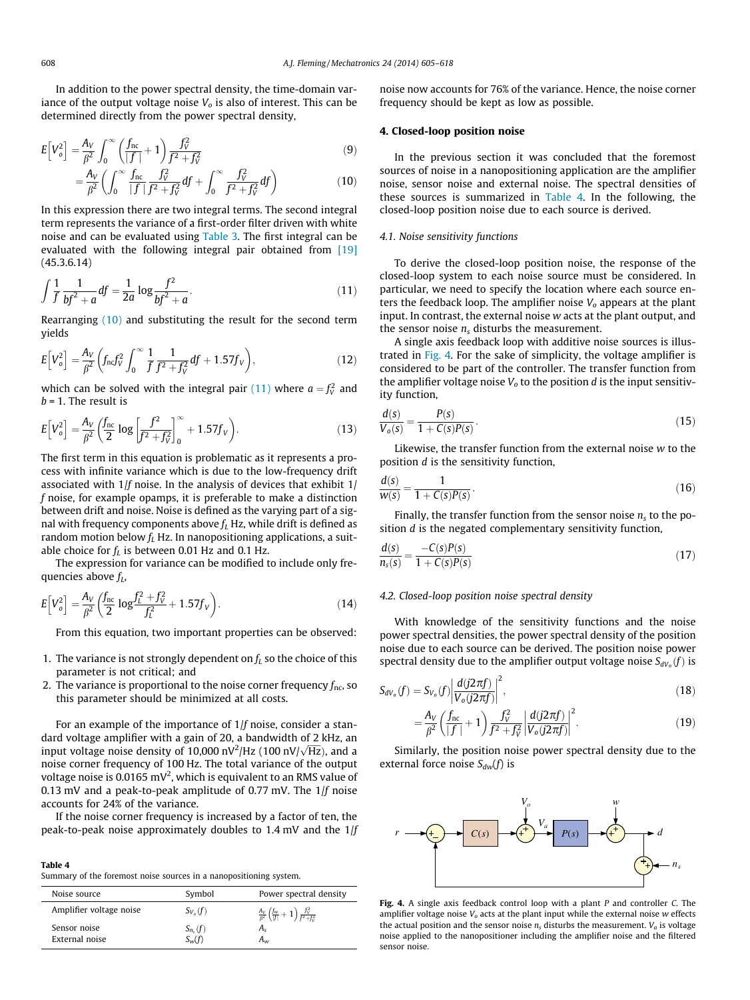<span id="page-3-0"></span>In addition to the power spectral density, the time-domain variance of the output voltage noise  $V_0$  is also of interest. This can be determined directly from the power spectral density,

$$
E[V_o^2] = \frac{A_V}{\beta^2} \int_0^\infty \left(\frac{f_{\text{nc}}}{|f|} + 1\right) \frac{f_V^2}{f^2 + f_V^2} = \frac{A_V}{\beta^2} \left( \int_0^\infty \frac{f_{\text{nc}}}{|f|} \frac{f_V^2}{f^2 + f_V^2} df + \int_0^\infty \frac{f_V^2}{f^2 + f_V^2} df \right)
$$
(10)

In this expression there are two integral terms. The second integral term represents the variance of a first-order filter driven with white noise and can be evaluated using [Table 3.](#page-2-0) The first integral can be evaluated with the following integral pair obtained from [\[19\]](#page-12-0) (45.3.6.14)

$$
\int \frac{1}{f} \frac{1}{bf^2 + a} df = \frac{1}{2a} \log \frac{f^2}{bf^2 + a}.
$$
 (11)

Rearranging (10) and substituting the result for the second term yields

$$
E[V_o^2] = \frac{A_V}{\beta^2} \left( f_{\text{nc}} f_V^2 \int_0^\infty \frac{1}{f} \frac{1}{f^2 + f_V^2} df + 1.57 f_V \right),\tag{12}
$$

which can be solved with the integral pair (11) where  $a = f_V^2$  and  $b = 1$ . The result is

$$
E[V_o^2] = \frac{A_V}{\beta^2} \left( \frac{f_{\text{nc}}}{2} \log \left( \frac{f^2}{f^2 + f_V^2} \right) \right)^{\infty} + 1.57 f_V \right). \tag{13}
$$

The first term in this equation is problematic as it represents a process with infinite variance which is due to the low-frequency drift associated with  $1/f$  noise. In the analysis of devices that exhibit  $1/$ f noise, for example opamps, it is preferable to make a distinction between drift and noise. Noise is defined as the varying part of a signal with frequency components above  $f_L$  Hz, while drift is defined as random motion below  $f_L$  Hz. In nanopositioning applications, a suitable choice for  $f_L$  is between 0.01 Hz and 0.1 Hz.

The expression for variance can be modified to include only frequencies above  $f_L$ ,

$$
E[V_o^2] = \frac{A_V}{\beta^2} \left( \frac{f_{\text{nc}}}{2} \log \frac{f_L^2 + f_V^2}{f_L^2} + 1.57 f_V \right). \tag{14}
$$

From this equation, two important properties can be observed:

- 1. The variance is not strongly dependent on  $f<sub>L</sub>$  so the choice of this parameter is not critical; and
- 2. The variance is proportional to the noise corner frequency  $f_{\text{nc}}$ , so this parameter should be minimized at all costs.

For an example of the importance of  $1/f$  noise, consider a standard voltage amplifier with a gain of 20, a bandwidth of 2 kHz, an  $\frac{d}{dt}$  and voltage amplifier with a gain of 20, a bandwidth of 2 KHz, and a input voltage noise density of 10,000 nV<sup>2</sup>/Hz (100 nV/ $\sqrt{Hz}$ ), and a noise corner frequency of 100 Hz. The total variance of the output voltage noise is 0.0165 mV<sup>2</sup>, which is equivalent to an RMS value of 0.13 mV and a peak-to-peak amplitude of 0.77 mV. The 1/f noise accounts for 24% of the variance.

If the noise corner frequency is increased by a factor of ten, the peak-to-peak noise approximately doubles to 1.4 mV and the  $1/f$ 

# Table 4

Summary of the foremost noise sources in a nanopositioning system.

| Noise source            | Symbol       | Power spectral density                                                                |
|-------------------------|--------------|---------------------------------------------------------------------------------------|
| Amplifier voltage noise | $S_{V_0}(f)$ | $\frac{A_V}{\beta^2} \left( \frac{f_{nc}}{ f } + 1 \right) \frac{f_V^2}{f^2 + f_c^2}$ |
| Sensor noise            | $S_{n_s}(f)$ | A,                                                                                    |
| External noise          | $S_w(f)$     | $A_w$                                                                                 |

noise now accounts for 76% of the variance. Hence, the noise corner frequency should be kept as low as possible.

# 4. Closed-loop position noise

In the previous section it was concluded that the foremost sources of noise in a nanopositioning application are the amplifier noise, sensor noise and external noise. The spectral densities of these sources is summarized in Table 4. In the following, the closed-loop position noise due to each source is derived.

# 4.1. Noise sensitivity functions

To derive the closed-loop position noise, the response of the closed-loop system to each noise source must be considered. In particular, we need to specify the location where each source enters the feedback loop. The amplifier noise  $V<sub>o</sub>$  appears at the plant input. In contrast, the external noise w acts at the plant output, and the sensor noise  $n_s$  disturbs the measurement.

A single axis feedback loop with additive noise sources is illustrated in Fig. 4. For the sake of simplicity, the voltage amplifier is considered to be part of the controller. The transfer function from the amplifier voltage noise  $V_0$  to the position d is the input sensitivity function,

$$
\frac{d(s)}{V_o(s)} = \frac{P(s)}{1 + C(s)P(s)}.
$$
\n(15)

Likewise, the transfer function from the external noise w to the position d is the sensitivity function,

$$
\frac{d(s)}{w(s)} = \frac{1}{1 + C(s)P(s)}.
$$
\n(16)

Finally, the transfer function from the sensor noise  $n<sub>s</sub>$  to the position *d* is the negated complementary sensitivity function,

$$
\frac{d(s)}{n_s(s)} = \frac{-C(s)P(s)}{1 + C(s)P(s)}
$$
(17)

#### 4.2. Closed-loop position noise spectral density

With knowledge of the sensitivity functions and the noise power spectral densities, the power spectral density of the position noise due to each source can be derived. The position noise power spectral density due to the amplifier output voltage noise  $S_{dV_0}(f)$  is

$$
S_{dV_o}(f) = S_{V_o}(f) \left| \frac{d(j2\pi f)}{V_o(j2\pi f)} \right|^2,
$$
\n(18)

$$
= \frac{A_V}{\beta^2} \left( \frac{f_{\text{nc}}}{|f|} + 1 \right) \frac{f_V^2}{f^2 + f_V^2} \left| \frac{d(j2\pi f)}{V_0(j2\pi f)} \right|^2.
$$
 (19)

Similarly, the position noise power spectral density due to the external force noise  $S_{dw}(f)$  is



Fig. 4. A single axis feedback control loop with a plant  $P$  and controller  $C$ . The amplifier voltage noise  $V_o$  acts at the plant input while the external noise w effects the actual position and the sensor noise  $n_s$  disturbs the measurement.  $V_a$  is voltage noise applied to the nanopositioner including the amplifier noise and the filtered sensor noise.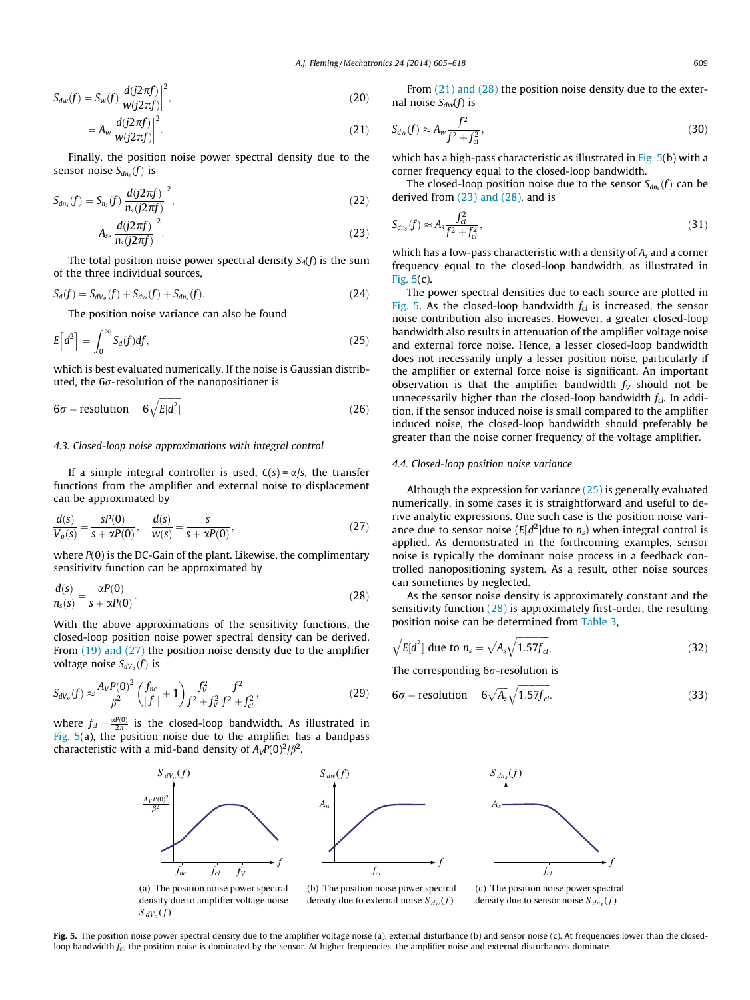<span id="page-4-0"></span>
$$
S_{dw}(f) = S_w(f) \left| \frac{d(j2\pi f)}{w(j2\pi f)} \right|^2,
$$
\n(20)

$$
=A_w \left| \frac{d(j2\pi f)}{w(j2\pi f)} \right|^2.
$$
\n(21)

Finally, the position noise power spectral density due to the sensor noise  $S_{dn_s}(f)$  is

$$
S_{dn_s}(f) = S_{n_s}(f) \left| \frac{d(j2\pi f)}{n_s(j2\pi f)} \right|^2,
$$
\n(22)

$$
=A_s \left| \frac{d(j2\pi f)}{n_s(j2\pi f)} \right|^2. \tag{23}
$$

The total position noise power spectral density  $S_d(f)$  is the sum of the three individual sources,

$$
S_d(f) = S_{dV_0}(f) + S_{dw}(f) + S_{dn_s}(f).
$$
\n(24)

The position noise variance can also be found

$$
E\left[d^2\right] = \int_0^\infty S_d(f) df,
$$
\n(25)

which is best evaluated numerically. If the noise is Gaussian distributed, the  $6\sigma$ -resolution of the nanopositioner is

$$
6\sigma - resolution = 6\sqrt{E[d^2]}
$$
 (26)

#### 4.3. Closed-loop noise approximations with integral control

If a simple integral controller is used,  $C(s) = \alpha/s$ , the transfer functions from the amplifier and external noise to displacement can be approximated by

$$
\frac{d(s)}{V_o(s)} = \frac{sP(0)}{s + \alpha P(0)}, \quad \frac{d(s)}{w(s)} = \frac{s}{s + \alpha P(0)},
$$
\n(27)

where  $P(0)$  is the DC-Gain of the plant. Likewise, the complimentary sensitivity function can be approximated by

$$
\frac{d(s)}{n_s(s)} = \frac{\alpha P(0)}{s + \alpha P(0)}.
$$
\n(28)

With the above approximations of the sensitivity functions, the closed-loop position noise power spectral density can be derived. From (19) and (27) the position noise density due to the amplifier voltage noise  $S_{dV_0}(f)$  is

$$
S_{dV_o}(f) \approx \frac{A_V P(0)^2}{\beta^2} \left(\frac{f_{nc}}{|f|} + 1\right) \frac{f_V^2}{f^2 + f_V^2} \frac{f^2}{f^2 + f_d^2},\tag{29}
$$

where  $f_{cl} = \frac{\alpha P(0)}{2\pi}$  is the closed-loop bandwidth. As illustrated in Fig.  $5(a)$ , the position noise due to the amplifier has a bandpass characteristic with a mid-band density of  $A_V P(0)^2/\beta^2$ .



(a) The position noise power spectral density due to amplifier voltage noise  $S_{dV_o}(f)$ 

From (21) and (28) the position noise density due to the external noise  $S_{dw}(f)$  is

$$
S_{dw}(f) \approx A_w \frac{f^2}{f^2 + f_d^2},\tag{30}
$$

which has a high-pass characteristic as illustrated in Fig. 5(b) with a corner frequency equal to the closed-loop bandwidth.

The closed-loop position noise due to the sensor  $S_{dn_s}(f)$  can be derived from (23) and (28), and is

$$
S_{dn_s}(f) \approx A_s \frac{f_d^2}{f^2 + f_d^2},\tag{31}
$$

which has a low-pass characteristic with a density of  $A_s$  and a corner frequency equal to the closed-loop bandwidth, as illustrated in Fig. 5(c).

The power spectral densities due to each source are plotted in Fig. 5. As the closed-loop bandwidth  $f_{cl}$  is increased, the sensor noise contribution also increases. However, a greater closed-loop bandwidth also results in attenuation of the amplifier voltage noise and external force noise. Hence, a lesser closed-loop bandwidth does not necessarily imply a lesser position noise, particularly if the amplifier or external force noise is significant. An important observation is that the amplifier bandwidth  $f_V$  should not be unnecessarily higher than the closed-loop bandwidth  $f_{cl}$ . In addition, if the sensor induced noise is small compared to the amplifier induced noise, the closed-loop bandwidth should preferably be greater than the noise corner frequency of the voltage amplifier.

#### 4.4. Closed-loop position noise variance

Although the expression for variance (25) is generally evaluated numerically, in some cases it is straightforward and useful to derive analytic expressions. One such case is the position noise variance due to sensor noise ( $E[d^2]$ due to  $n_s$ ) when integral control is applied. As demonstrated in the forthcoming examples, sensor noise is typically the dominant noise process in a feedback controlled nanopositioning system. As a result, other noise sources can sometimes by neglected.

As the sensor noise density is approximately constant and the sensitivity function (28) is approximately first-order, the resulting position noise can be determined from [Table 3,](#page-2-0)

$$
\sqrt{E[d^2]} \text{ due to } n_s = \sqrt{A_s} \sqrt{1.57 f_{cl}},
$$
\n(32)

The corresponding  $6\sigma$ -resolution is

*f*

$$
6\sigma - \text{resolution} = 6\sqrt{A_s}\sqrt{1.57f_{cl}}.\tag{33}
$$



(c) The position noise power spectral density due to sensor noise  $S_{dn_s}(f)$ 

Fig. 5. The position noise power spectral density due to the amplifier voltage noise (a), external disturbance (b) and sensor noise (c). At frequencies lower than the closedloop bandwidth  $f_{cl}$ , the position noise is dominated by the sensor. At higher frequencies, the amplifier noise and external disturbances dominate.

density due to external noise  $S_{dw}(f)$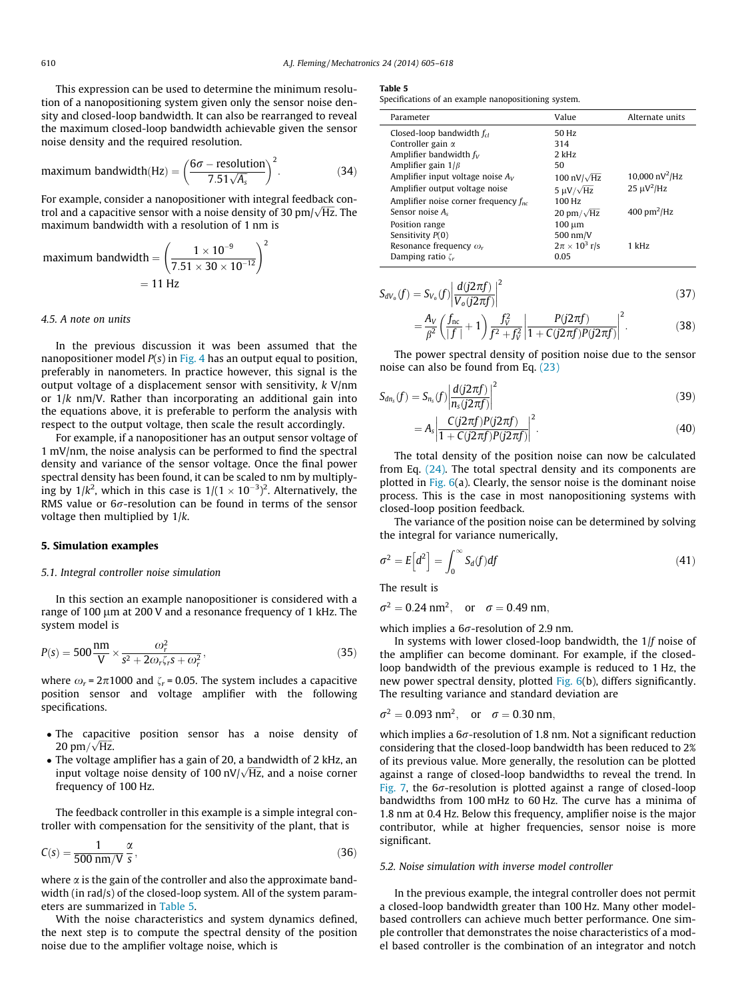This expression can be used to determine the minimum resolution of a nanopositioning system given only the sensor noise density and closed-loop bandwidth. It can also be rearranged to reveal the maximum closed-loop bandwidth achievable given the sensor noise density and the required resolution.

maximum bandwidth(Hz) = 
$$
\left(\frac{6\sigma - \text{resolution}}{7.51\sqrt{A_s}}\right)^2
$$
. (34)

For example, consider a nanopositioner with integral feedback control and a capacitive sensor with a noise density of 30 pm/ $\sqrt{Hz}$ . The maximum bandwidth with a resolution of 1 nm is

maximum bandwidth = 
$$
\left(\frac{1 \times 10^{-9}}{7.51 \times 30 \times 10^{-12}}\right)^2
$$

$$
= 11 Hz
$$

#### 4.5. A note on units

In the previous discussion it was been assumed that the nanopositioner model  $P(s)$  in [Fig. 4](#page-3-0) has an output equal to position, preferably in nanometers. In practice however, this signal is the output voltage of a displacement sensor with sensitivity, k V/nm or 1/k nm/V. Rather than incorporating an additional gain into the equations above, it is preferable to perform the analysis with respect to the output voltage, then scale the result accordingly.

For example, if a nanopositioner has an output sensor voltage of 1 mV/nm, the noise analysis can be performed to find the spectral density and variance of the sensor voltage. Once the final power spectral density has been found, it can be scaled to nm by multiplying by  $1/k^2$ , which in this case is  $1/(1 \times 10^{-3})^2$ . Alternatively, the RMS value or  $6\sigma$ -resolution can be found in terms of the sensor voltage then multiplied by 1/k.

# 5. Simulation examples

#### 5.1. Integral controller noise simulation

In this section an example nanopositioner is considered with a range of 100 µm at 200 V and a resonance frequency of 1 kHz. The system model is

$$
P(s) = 500 \frac{\text{nm}}{\text{V}} \times \frac{\omega_r^2}{s^2 + 2\omega_r \zeta_r s + \omega_r^2},\tag{35}
$$

where  $\omega_r$  = 2 $\pi$ 1000 and  $\zeta_r$  = 0.05. The system includes a capacitive position sensor and voltage amplifier with the following specifications.

- The capacitive position sensor has a noise density of The capach<br>20  $\text{pm}/\sqrt{\text{Hz}}$ .
- The voltage amplifier has a gain of 20, a bandwidth of 2 kHz, an The voltage amplifier has a gain of 20, a bandwidth of 2 KHz, and input voltage noise density of  $100 \text{ nV}/\sqrt{\text{Hz}}$ , and a noise corner frequency of 100 Hz.

The feedback controller in this example is a simple integral controller with compensation for the sensitivity of the plant, that is

$$
C(s) = \frac{1}{500 \text{ nm/V}} \frac{\alpha}{s},\tag{36}
$$

where  $\alpha$  is the gain of the controller and also the approximate bandwidth (in rad/s) of the closed-loop system. All of the system parameters are summarized in Table 5.

With the noise characteristics and system dynamics defined, the next step is to compute the spectral density of the position noise due to the amplifier voltage noise, which is

#### Table 5

Specifications of an example nanopositioning system.

| Parameter                                                    | Value                        | Alternate units   |
|--------------------------------------------------------------|------------------------------|-------------------|
| Closed-loop bandwidth $f_{cl}$<br>Controller gain $\alpha$   | 50 Hz<br>314                 |                   |
| Amplifier bandwidth $f_V$                                    | $2$ kHz                      |                   |
| Amplifier gain $1/\beta$                                     | 50                           |                   |
| Amplifier input voltage noise $A_V$                          | 100 nV/ $\sqrt{Hz}$          | 10,000 $nV^2$ /Hz |
| Amplifier output voltage noise                               | $5 \mu V / \sqrt{Hz}$        | $25 \mu V^2$ /Hz  |
| Amplifier noise corner frequency $f_{nc}$<br>Sensor noise A. | 100 Hz<br>20 pm/ $\sqrt{Hz}$ | 400 $pm^2$ /Hz    |
| Position range                                               | $100 \mu m$                  |                   |
| Sensitivity $P(0)$                                           | $500$ nm/V                   |                   |
| Resonance frequency $\omega_r$                               | $2\pi \times 10^3$ r/s       | 1 kHz             |
| Damping ratio $\zeta_r$                                      | 0.05                         |                   |

$$
S_{dV_o}(f) = S_{V_o}(f) \left| \frac{d(j2\pi f)}{V_o(j2\pi f)} \right|^2
$$
\n(37)

$$
= \frac{A_V}{\beta^2} \left( \frac{f_{\text{nc}}}{|f|} + 1 \right) \frac{f_V^2}{f^2 + f_V^2} \left| \frac{P(j2\pi f)}{1 + C(j2\pi f)P(j2\pi f)} \right|^2.
$$
 (38)

The power spectral density of position noise due to the sensor noise can also be found from Eq. (23)

$$
S_{dn_s}(f) = S_{n_s}(f) \left| \frac{d(j2\pi f)}{n_s(j2\pi f)} \right|^2 \tag{39}
$$

$$
=A_s\left|\frac{C(j2\pi f)P(j2\pi f)}{1+C(j2\pi f)P(j2\pi f)}\right|^2.\tag{40}
$$

The total density of the position noise can now be calculated from Eq. [\(24\).](#page-4-0) The total spectral density and its components are plotted in [Fig. 6](#page-6-0)(a). Clearly, the sensor noise is the dominant noise process. This is the case in most nanopositioning systems with closed-loop position feedback.

The variance of the position noise can be determined by solving the integral for variance numerically,

$$
\sigma^2 = E\Big[d^2\Big] = \int_0^\infty S_d(f) df \tag{41}
$$

The result is

 $\sigma^2 = 0.24$  nm<sup>2</sup>, or  $\sigma = 0.49$  nm,

which implies a  $6\sigma$ -resolution of 2.9 nm.

In systems with lower closed-loop bandwidth, the 1/f noise of the amplifier can become dominant. For example, if the closedloop bandwidth of the previous example is reduced to 1 Hz, the new power spectral density, plotted [Fig. 6\(](#page-6-0)b), differs significantly. The resulting variance and standard deviation are

$$
\sigma^2 = 0.093
$$
 nm<sup>2</sup>, or  $\sigma = 0.30$  nm,

which implies a  $6\sigma$ -resolution of 1.8 nm. Not a significant reduction considering that the closed-loop bandwidth has been reduced to 2% of its previous value. More generally, the resolution can be plotted against a range of closed-loop bandwidths to reveal the trend. In [Fig. 7,](#page-6-0) the  $6\sigma$ -resolution is plotted against a range of closed-loop bandwidths from 100 mHz to 60 Hz. The curve has a minima of 1.8 nm at 0.4 Hz. Below this frequency, amplifier noise is the major contributor, while at higher frequencies, sensor noise is more significant.

#### 5.2. Noise simulation with inverse model controller

In the previous example, the integral controller does not permit a closed-loop bandwidth greater than 100 Hz. Many other modelbased controllers can achieve much better performance. One simple controller that demonstrates the noise characteristics of a model based controller is the combination of an integrator and notch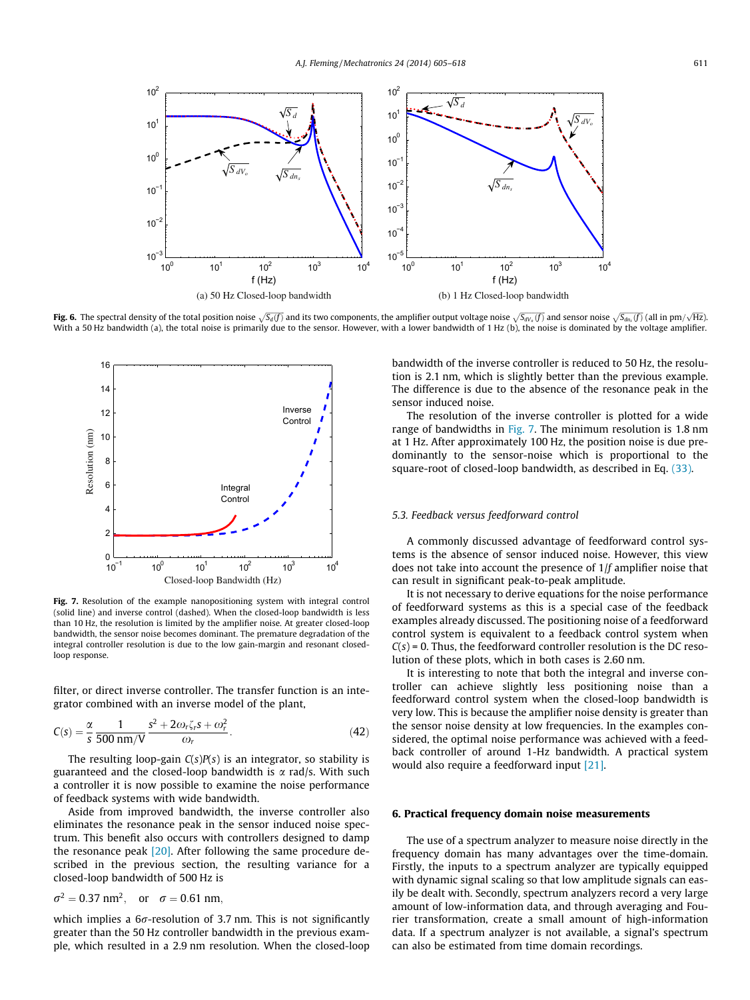<span id="page-6-0"></span>

**Fig. 6.** The spectral density of the total position noise  $\sqrt{S_d(f)}$  and its two components, the amplifier output voltage noise  $\sqrt{S_{dv_o}(f)}$  and sensor noise  $\sqrt{S_{dv_s}(f)}$  (all in pm/ $\sqrt{\text{Hz}}$ ). With a 50 Hz bandwidth (a), the total noise is primarily due to the sensor. However, with a lower bandwidth of 1 Hz (b), the noise is dominated by the voltage amplifier.



Fig. 7. Resolution of the example nanopositioning system with integral control (solid line) and inverse control (dashed). When the closed-loop bandwidth is less than 10 Hz, the resolution is limited by the amplifier noise. At greater closed-loop bandwidth, the sensor noise becomes dominant. The premature degradation of the integral controller resolution is due to the low gain-margin and resonant closedloop response.

filter, or direct inverse controller. The transfer function is an integrator combined with an inverse model of the plant,

$$
C(s) = \frac{\alpha}{s} \frac{1}{500 \text{ nm}/V} \frac{s^2 + 2\omega_r \zeta_r s + \omega_r^2}{\omega_r}.
$$
 (42)

The resulting loop-gain  $C(s)P(s)$  is an integrator, so stability is guaranteed and the closed-loop bandwidth is  $\alpha$  rad/s. With such a controller it is now possible to examine the noise performance of feedback systems with wide bandwidth.

Aside from improved bandwidth, the inverse controller also eliminates the resonance peak in the sensor induced noise spectrum. This benefit also occurs with controllers designed to damp the resonance peak [\[20\].](#page-12-0) After following the same procedure described in the previous section, the resulting variance for a closed-loop bandwidth of 500 Hz is

$$
\sigma^2 = 0.37 \text{ nm}^2, \quad \text{or} \quad \sigma = 0.61 \text{ nm},
$$

which implies a  $6\sigma$ -resolution of 3.7 nm. This is not significantly greater than the 50 Hz controller bandwidth in the previous example, which resulted in a 2.9 nm resolution. When the closed-loop bandwidth of the inverse controller is reduced to 50 Hz, the resolution is 2.1 nm, which is slightly better than the previous example. The difference is due to the absence of the resonance peak in the sensor induced noise.

The resolution of the inverse controller is plotted for a wide range of bandwidths in Fig. 7. The minimum resolution is 1.8 nm at 1 Hz. After approximately 100 Hz, the position noise is due predominantly to the sensor-noise which is proportional to the square-root of closed-loop bandwidth, as described in Eq. [\(33\)](#page-4-0).

## 5.3. Feedback versus feedforward control

A commonly discussed advantage of feedforward control systems is the absence of sensor induced noise. However, this view does not take into account the presence of 1/f amplifier noise that can result in significant peak-to-peak amplitude.

It is not necessary to derive equations for the noise performance of feedforward systems as this is a special case of the feedback examples already discussed. The positioning noise of a feedforward control system is equivalent to a feedback control system when  $C(s)$  = 0. Thus, the feedforward controller resolution is the DC resolution of these plots, which in both cases is 2.60 nm.

It is interesting to note that both the integral and inverse controller can achieve slightly less positioning noise than a feedforward control system when the closed-loop bandwidth is very low. This is because the amplifier noise density is greater than the sensor noise density at low frequencies. In the examples considered, the optimal noise performance was achieved with a feedback controller of around 1-Hz bandwidth. A practical system would also require a feedforward input [\[21\].](#page-12-0)

# 6. Practical frequency domain noise measurements

The use of a spectrum analyzer to measure noise directly in the frequency domain has many advantages over the time-domain. Firstly, the inputs to a spectrum analyzer are typically equipped with dynamic signal scaling so that low amplitude signals can easily be dealt with. Secondly, spectrum analyzers record a very large amount of low-information data, and through averaging and Fourier transformation, create a small amount of high-information data. If a spectrum analyzer is not available, a signal's spectrum can also be estimated from time domain recordings.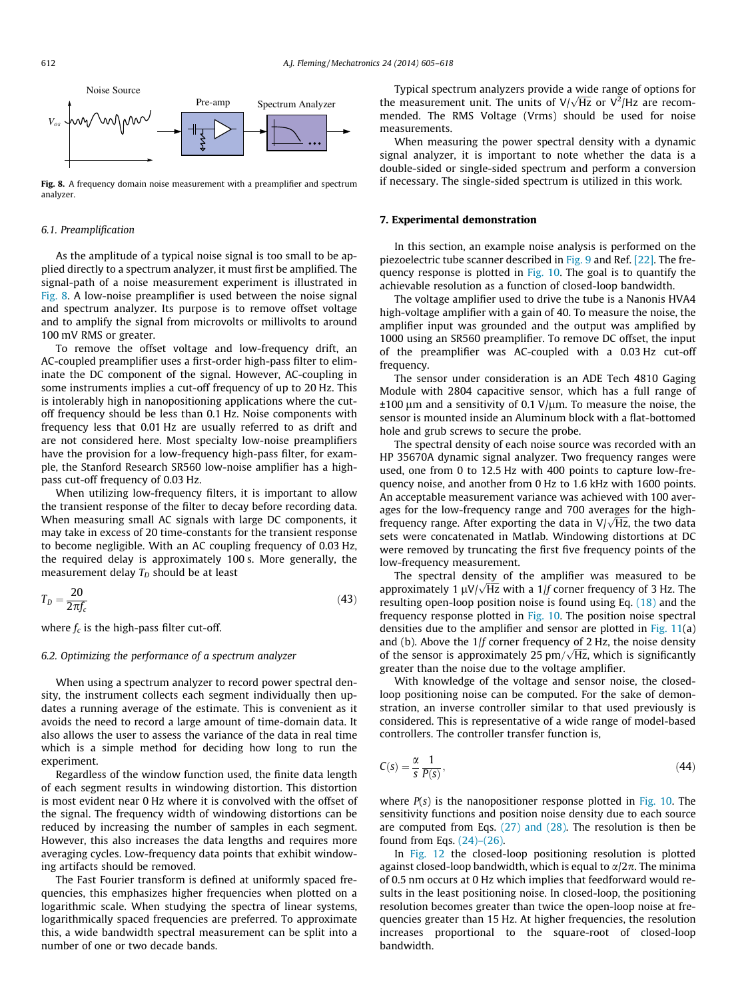

Fig. 8. A frequency domain noise measurement with a preamplifier and spectrum analyzer.

#### 6.1. Preamplification

As the amplitude of a typical noise signal is too small to be applied directly to a spectrum analyzer, it must first be amplified. The signal-path of a noise measurement experiment is illustrated in Fig. 8. A low-noise preamplifier is used between the noise signal and spectrum analyzer. Its purpose is to remove offset voltage and to amplify the signal from microvolts or millivolts to around 100 mV RMS or greater.

To remove the offset voltage and low-frequency drift, an AC-coupled preamplifier uses a first-order high-pass filter to eliminate the DC component of the signal. However, AC-coupling in some instruments implies a cut-off frequency of up to 20 Hz. This is intolerably high in nanopositioning applications where the cutoff frequency should be less than 0.1 Hz. Noise components with frequency less that 0.01 Hz are usually referred to as drift and are not considered here. Most specialty low-noise preamplifiers have the provision for a low-frequency high-pass filter, for example, the Stanford Research SR560 low-noise amplifier has a highpass cut-off frequency of 0.03 Hz.

When utilizing low-frequency filters, it is important to allow the transient response of the filter to decay before recording data. When measuring small AC signals with large DC components, it may take in excess of 20 time-constants for the transient response to become negligible. With an AC coupling frequency of 0.03 Hz, the required delay is approximately 100 s. More generally, the measurement delay  $T_D$  should be at least

$$
T_D = \frac{20}{2\pi f_c} \tag{43}
$$

where  $f_c$  is the high-pass filter cut-off.

#### 6.2. Optimizing the performance of a spectrum analyzer

When using a spectrum analyzer to record power spectral density, the instrument collects each segment individually then updates a running average of the estimate. This is convenient as it avoids the need to record a large amount of time-domain data. It also allows the user to assess the variance of the data in real time which is a simple method for deciding how long to run the experiment.

Regardless of the window function used, the finite data length of each segment results in windowing distortion. This distortion is most evident near 0 Hz where it is convolved with the offset of the signal. The frequency width of windowing distortions can be reduced by increasing the number of samples in each segment. However, this also increases the data lengths and requires more averaging cycles. Low-frequency data points that exhibit windowing artifacts should be removed.

The Fast Fourier transform is defined at uniformly spaced frequencies, this emphasizes higher frequencies when plotted on a logarithmic scale. When studying the spectra of linear systems, logarithmically spaced frequencies are preferred. To approximate this, a wide bandwidth spectral measurement can be split into a number of one or two decade bands.

Typical spectrum analyzers provide a wide range of options for Typical spectrum analyzers provide a wide range of options for<br>the measurement unit. The units of  $V/\sqrt{Hz}$  or  $V^2/Hz$  are recommended. The RMS Voltage (Vrms) should be used for noise measurements.

When measuring the power spectral density with a dynamic signal analyzer, it is important to note whether the data is a double-sided or single-sided spectrum and perform a conversion if necessary. The single-sided spectrum is utilized in this work.

#### 7. Experimental demonstration

In this section, an example noise analysis is performed on the piezoelectric tube scanner described in [Fig. 9](#page-8-0) and Ref. [\[22\]](#page-12-0). The frequency response is plotted in [Fig. 10.](#page-8-0) The goal is to quantify the achievable resolution as a function of closed-loop bandwidth.

The voltage amplifier used to drive the tube is a Nanonis HVA4 high-voltage amplifier with a gain of 40. To measure the noise, the amplifier input was grounded and the output was amplified by 1000 using an SR560 preamplifier. To remove DC offset, the input of the preamplifier was AC-coupled with a 0.03 Hz cut-off frequency.

The sensor under consideration is an ADE Tech 4810 Gaging Module with 2804 capacitive sensor, which has a full range of  $\pm 100$  µm and a sensitivity of 0.1 V/µm. To measure the noise, the sensor is mounted inside an Aluminum block with a flat-bottomed hole and grub screws to secure the probe.

The spectral density of each noise source was recorded with an HP 35670A dynamic signal analyzer. Two frequency ranges were used, one from 0 to 12.5 Hz with 400 points to capture low-frequency noise, and another from 0 Hz to 1.6 kHz with 1600 points. An acceptable measurement variance was achieved with 100 averages for the low-frequency range and 700 averages for the highages for the low-frequency range and 700 averages for the ingil-<br>frequency range. After exporting the data in  $V/\sqrt{Hz}$ , the two data sets were concatenated in Matlab. Windowing distortions at DC were removed by truncating the first five frequency points of the low-frequency measurement.

The spectral density of the amplifier was measured to be approximately 1  $\mu$ V/ $\sqrt{Hz}$  with a 1/f corner frequency of 3 Hz. The resulting open-loop position noise is found using Eq. [\(18\)](#page-3-0) and the frequency response plotted in [Fig. 10.](#page-8-0) The position noise spectral densities due to the amplifier and sensor are plotted in  $Fig. 11(a)$  $Fig. 11(a)$ and (b). Above the  $1/f$  corner frequency of 2 Hz, the noise density of the sensor is approximately 25  $pm/\sqrt{Hz}$ , which is significantly greater than the noise due to the voltage amplifier.

With knowledge of the voltage and sensor noise, the closedloop positioning noise can be computed. For the sake of demonstration, an inverse controller similar to that used previously is considered. This is representative of a wide range of model-based controllers. The controller transfer function is,

$$
C(s) = \frac{\alpha}{s} \frac{1}{P(s)},\tag{44}
$$

where  $P(s)$  is the nanopositioner response plotted in [Fig. 10.](#page-8-0) The sensitivity functions and position noise density due to each source are computed from Eqs.  $(27)$  and  $(28)$ . The resolution is then be found from Eqs.  $(24)-(26)$ .

In [Fig. 12](#page-9-0) the closed-loop positioning resolution is plotted against closed-loop bandwidth, which is equal to  $\alpha/2\pi$ . The minima of 0.5 nm occurs at 0 Hz which implies that feedforward would results in the least positioning noise. In closed-loop, the positioning resolution becomes greater than twice the open-loop noise at frequencies greater than 15 Hz. At higher frequencies, the resolution increases proportional to the square-root of closed-loop bandwidth.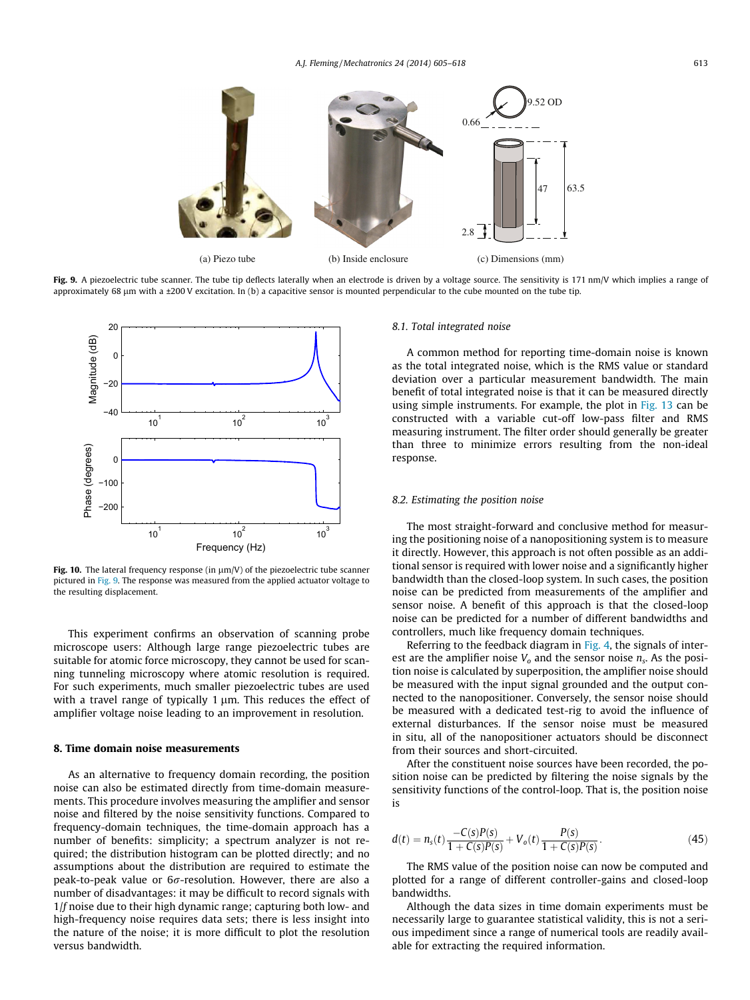<span id="page-8-0"></span>

Fig. 9. A piezoelectric tube scanner. The tube tip deflects laterally when an electrode is driven by a voltage source. The sensitivity is 171 nm/V which implies a range of approximately 68  $\mu$ m with a ±200 V excitation. In (b) a capacitive sensor is mounted perpendicular to the cube mounted on the tube tip.



Fig. 10. The lateral frequency response (in  $\mu$ m/V) of the piezoelectric tube scanner pictured in Fig. 9. The response was measured from the applied actuator voltage to the resulting displacement.

This experiment confirms an observation of scanning probe microscope users: Although large range piezoelectric tubes are suitable for atomic force microscopy, they cannot be used for scanning tunneling microscopy where atomic resolution is required. For such experiments, much smaller piezoelectric tubes are used with a travel range of typically 1  $\mu$ m. This reduces the effect of amplifier voltage noise leading to an improvement in resolution.

# 8. Time domain noise measurements

As an alternative to frequency domain recording, the position noise can also be estimated directly from time-domain measurements. This procedure involves measuring the amplifier and sensor noise and filtered by the noise sensitivity functions. Compared to frequency-domain techniques, the time-domain approach has a number of benefits: simplicity; a spectrum analyzer is not required; the distribution histogram can be plotted directly; and no assumptions about the distribution are required to estimate the peak-to-peak value or  $6\sigma$ -resolution. However, there are also a number of disadvantages: it may be difficult to record signals with 1/f noise due to their high dynamic range; capturing both low- and high-frequency noise requires data sets; there is less insight into the nature of the noise; it is more difficult to plot the resolution versus bandwidth.

# 8.1. Total integrated noise

A common method for reporting time-domain noise is known as the total integrated noise, which is the RMS value or standard deviation over a particular measurement bandwidth. The main benefit of total integrated noise is that it can be measured directly using simple instruments. For example, the plot in [Fig. 13](#page-10-0) can be constructed with a variable cut-off low-pass filter and RMS measuring instrument. The filter order should generally be greater than three to minimize errors resulting from the non-ideal response.

## 8.2. Estimating the position noise

The most straight-forward and conclusive method for measuring the positioning noise of a nanopositioning system is to measure it directly. However, this approach is not often possible as an additional sensor is required with lower noise and a significantly higher bandwidth than the closed-loop system. In such cases, the position noise can be predicted from measurements of the amplifier and sensor noise. A benefit of this approach is that the closed-loop noise can be predicted for a number of different bandwidths and controllers, much like frequency domain techniques.

Referring to the feedback diagram in [Fig. 4](#page-3-0), the signals of interest are the amplifier noise  $V_0$  and the sensor noise  $n_s$ . As the position noise is calculated by superposition, the amplifier noise should be measured with the input signal grounded and the output connected to the nanopositioner. Conversely, the sensor noise should be measured with a dedicated test-rig to avoid the influence of external disturbances. If the sensor noise must be measured in situ, all of the nanopositioner actuators should be disconnect from their sources and short-circuited.

After the constituent noise sources have been recorded, the position noise can be predicted by filtering the noise signals by the sensitivity functions of the control-loop. That is, the position noise is

$$
d(t) = n_s(t) \frac{-C(s)P(s)}{1 + C(s)P(s)} + V_o(t) \frac{P(s)}{1 + C(s)P(s)}.
$$
\n(45)

The RMS value of the position noise can now be computed and plotted for a range of different controller-gains and closed-loop bandwidths.

Although the data sizes in time domain experiments must be necessarily large to guarantee statistical validity, this is not a serious impediment since a range of numerical tools are readily available for extracting the required information.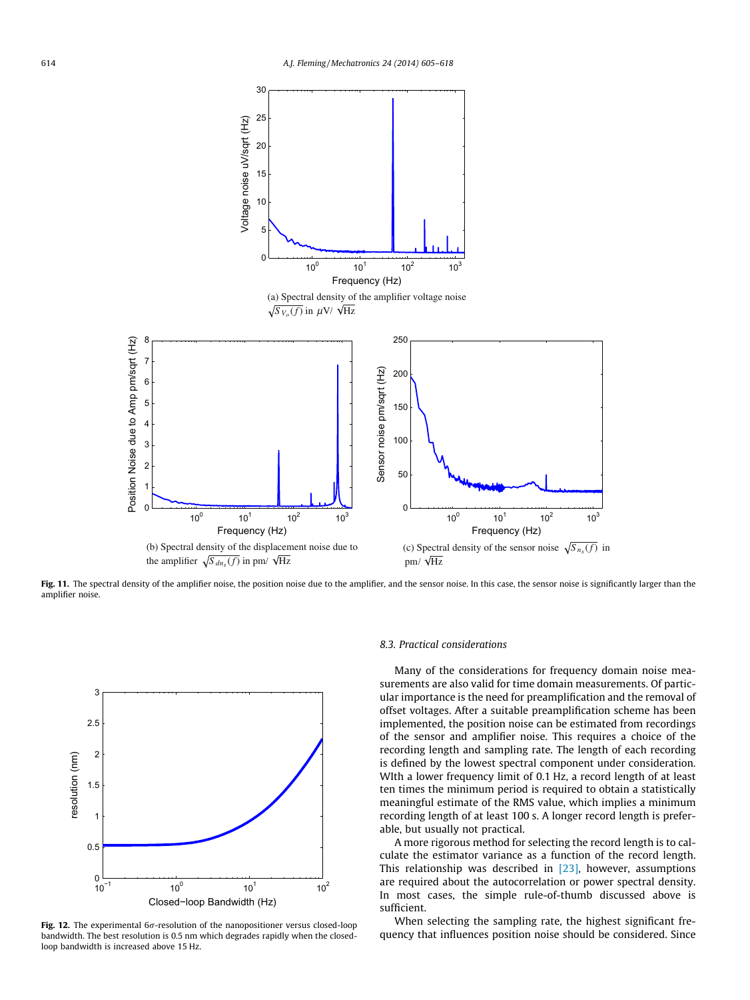<span id="page-9-0"></span>

Fig. 11. The spectral density of the amplifier noise, the position noise due to the amplifier, and the sensor noise. In this case, the sensor noise is significantly larger than the amplifier noise.



Fig. 12. The experimental 6 $\sigma$ -resolution of the nanopositioner versus closed-loop bandwidth. The best resolution is 0.5 nm which degrades rapidly when the closedloop bandwidth is increased above 15 Hz.

# 8.3. Practical considerations

Many of the considerations for frequency domain noise measurements are also valid for time domain measurements. Of particular importance is the need for preamplification and the removal of offset voltages. After a suitable preamplification scheme has been implemented, the position noise can be estimated from recordings of the sensor and amplifier noise. This requires a choice of the recording length and sampling rate. The length of each recording is defined by the lowest spectral component under consideration. WIth a lower frequency limit of 0.1 Hz, a record length of at least ten times the minimum period is required to obtain a statistically meaningful estimate of the RMS value, which implies a minimum recording length of at least 100 s. A longer record length is preferable, but usually not practical.

A more rigorous method for selecting the record length is to calculate the estimator variance as a function of the record length. This relationship was described in  $[23]$ , however, assumptions are required about the autocorrelation or power spectral density. In most cases, the simple rule-of-thumb discussed above is sufficient.

When selecting the sampling rate, the highest significant frequency that influences position noise should be considered. Since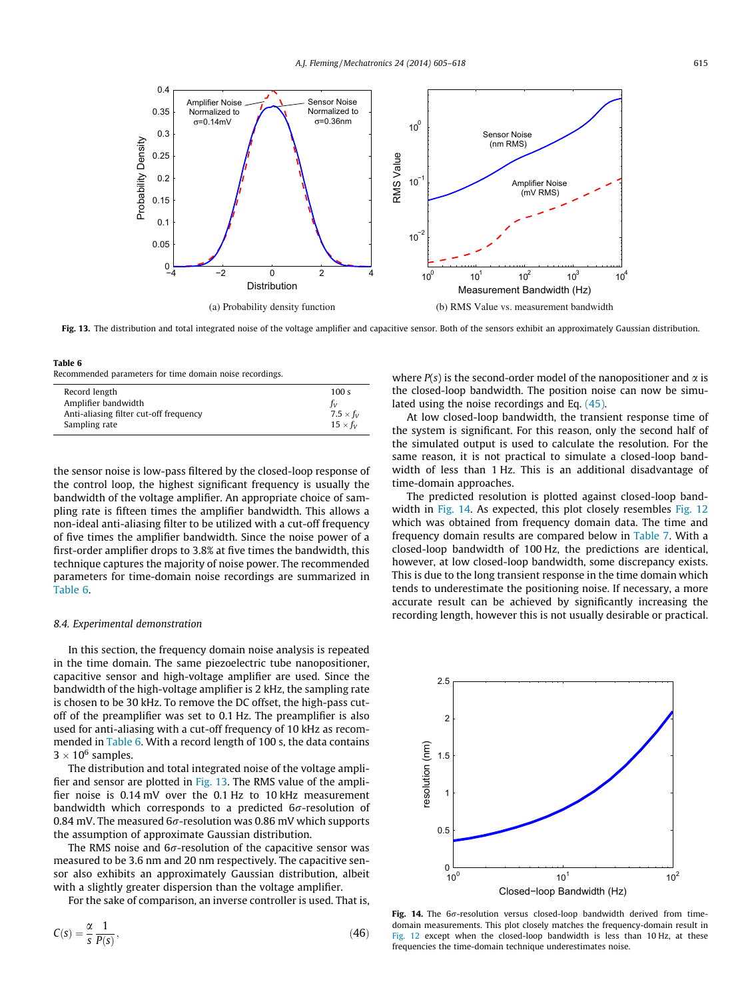<span id="page-10-0"></span>

Fig. 13. The distribution and total integrated noise of the voltage amplifier and capacitive sensor. Both of the sensors exhibit an approximately Gaussian distribution.

Table 6 Recommended parameters for time domain noise recordings.

| Record length                          | 100s             |
|----------------------------------------|------------------|
| Amplifier bandwidth                    | fv               |
| Anti-aliasing filter cut-off frequency | $7.5 \times f_V$ |
| Sampling rate                          | $15 \times f_V$  |

the sensor noise is low-pass filtered by the closed-loop response of the control loop, the highest significant frequency is usually the bandwidth of the voltage amplifier. An appropriate choice of sampling rate is fifteen times the amplifier bandwidth. This allows a non-ideal anti-aliasing filter to be utilized with a cut-off frequency of five times the amplifier bandwidth. Since the noise power of a first-order amplifier drops to 3.8% at five times the bandwidth, this technique captures the majority of noise power. The recommended parameters for time-domain noise recordings are summarized in Table 6.

#### 8.4. Experimental demonstration

In this section, the frequency domain noise analysis is repeated in the time domain. The same piezoelectric tube nanopositioner, capacitive sensor and high-voltage amplifier are used. Since the bandwidth of the high-voltage amplifier is 2 kHz, the sampling rate is chosen to be 30 kHz. To remove the DC offset, the high-pass cutoff of the preamplifier was set to 0.1 Hz. The preamplifier is also used for anti-aliasing with a cut-off frequency of 10 kHz as recommended in Table 6. With a record length of 100 s, the data contains  $3 \times 10^6$  samples.

The distribution and total integrated noise of the voltage amplifier and sensor are plotted in Fig. 13. The RMS value of the amplifier noise is 0.14 mV over the 0.1 Hz to 10 kHz measurement bandwidth which corresponds to a predicted  $6\sigma$ -resolution of 0.84 mV. The measured  $6\sigma$ -resolution was 0.86 mV which supports the assumption of approximate Gaussian distribution.

The RMS noise and  $6\sigma$ -resolution of the capacitive sensor was measured to be 3.6 nm and 20 nm respectively. The capacitive sensor also exhibits an approximately Gaussian distribution, albeit with a slightly greater dispersion than the voltage amplifier.

For the sake of comparison, an inverse controller is used. That is,

$$
C(s) = \frac{\alpha}{s} \frac{1}{P(s)},\tag{46}
$$

where  $P(s)$  is the second-order model of the nanopositioner and  $\alpha$  is the closed-loop bandwidth. The position noise can now be simulated using the noise recordings and Eq. [\(45\)](#page-8-0).

At low closed-loop bandwidth, the transient response time of the system is significant. For this reason, only the second half of the simulated output is used to calculate the resolution. For the same reason, it is not practical to simulate a closed-loop bandwidth of less than 1 Hz. This is an additional disadvantage of time-domain approaches.

The predicted resolution is plotted against closed-loop bandwidth in Fig. 14. As expected, this plot closely resembles [Fig. 12](#page-9-0) which was obtained from frequency domain data. The time and frequency domain results are compared below in [Table 7.](#page-11-0) With a closed-loop bandwidth of 100 Hz, the predictions are identical, however, at low closed-loop bandwidth, some discrepancy exists. This is due to the long transient response in the time domain which tends to underestimate the positioning noise. If necessary, a more accurate result can be achieved by significantly increasing the recording length, however this is not usually desirable or practical.



Fig. 14. The  $6\sigma$ -resolution versus closed-loop bandwidth derived from timedomain measurements. This plot closely matches the frequency-domain result in [Fig. 12](#page-9-0) except when the closed-loop bandwidth is less than 10 Hz, at these frequencies the time-domain technique underestimates noise.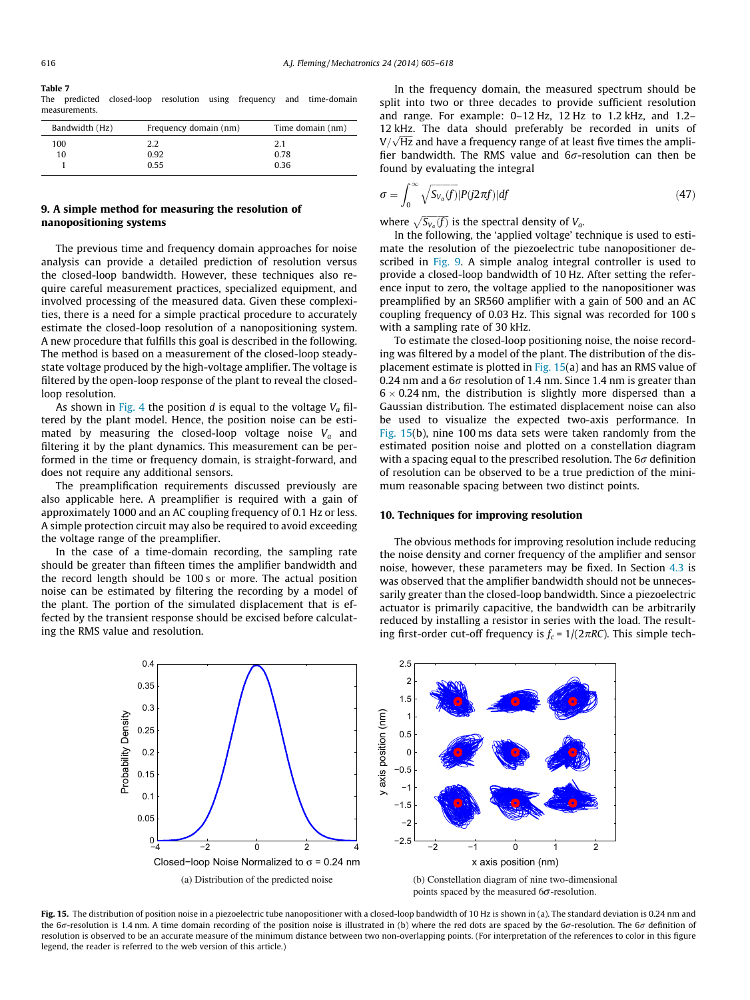#### <span id="page-11-0"></span>Table 7

The predicted closed-loop resolution using frequency and time-domain measurements.

| Bandwidth (Hz) | Frequency domain (nm) | Time domain (nm) |
|----------------|-----------------------|------------------|
| 100            | 2.2                   | 2.1              |
| 10             | 0.92                  | 0.78             |
|                | 0.55                  | 0.36             |

# 9. A simple method for measuring the resolution of nanopositioning systems

The previous time and frequency domain approaches for noise analysis can provide a detailed prediction of resolution versus the closed-loop bandwidth. However, these techniques also require careful measurement practices, specialized equipment, and involved processing of the measured data. Given these complexities, there is a need for a simple practical procedure to accurately estimate the closed-loop resolution of a nanopositioning system. A new procedure that fulfills this goal is described in the following. The method is based on a measurement of the closed-loop steadystate voltage produced by the high-voltage amplifier. The voltage is filtered by the open-loop response of the plant to reveal the closedloop resolution.

As shown in [Fig. 4](#page-3-0) the position d is equal to the voltage  $V_a$  filtered by the plant model. Hence, the position noise can be estimated by measuring the closed-loop voltage noise  $V_a$  and filtering it by the plant dynamics. This measurement can be performed in the time or frequency domain, is straight-forward, and does not require any additional sensors.

The preamplification requirements discussed previously are also applicable here. A preamplifier is required with a gain of approximately 1000 and an AC coupling frequency of 0.1 Hz or less. A simple protection circuit may also be required to avoid exceeding the voltage range of the preamplifier.

In the case of a time-domain recording, the sampling rate should be greater than fifteen times the amplifier bandwidth and the record length should be 100 s or more. The actual position noise can be estimated by filtering the recording by a model of the plant. The portion of the simulated displacement that is effected by the transient response should be excised before calculating the RMS value and resolution.

In the frequency domain, the measured spectrum should be split into two or three decades to provide sufficient resolution and range. For example: 0–12 Hz, 12 Hz to 1.2 kHz, and 1.2– 12 kHz. The data should preferably be recorded in units of  $V/\sqrt{Hz}$  and have a frequency range of at least five times the amplifier bandwidth. The RMS value and  $6\sigma$ -resolution can then be found by evaluating the integral

$$
\sigma = \int_0^\infty \sqrt{S_{V_a}(f)} |P(j2\pi f)| df \qquad (47)
$$

where  $\sqrt{\mathsf{S}_{V_a}(f)}$  is the spectral density of  $V_a$ .

In the following, the 'applied voltage' technique is used to estimate the resolution of the piezoelectric tube nanopositioner described in [Fig. 9](#page-8-0). A simple analog integral controller is used to provide a closed-loop bandwidth of 10 Hz. After setting the reference input to zero, the voltage applied to the nanopositioner was preamplified by an SR560 amplifier with a gain of 500 and an AC coupling frequency of 0.03 Hz. This signal was recorded for 100 s with a sampling rate of 30 kHz.

To estimate the closed-loop positioning noise, the noise recording was filtered by a model of the plant. The distribution of the displacement estimate is plotted in Fig.  $15(a)$  and has an RMS value of 0.24 nm and a  $6\sigma$  resolution of 1.4 nm. Since 1.4 nm is greater than  $6 \times 0.24$  nm, the distribution is slightly more dispersed than a Gaussian distribution. The estimated displacement noise can also be used to visualize the expected two-axis performance. In Fig. 15(b), nine 100 ms data sets were taken randomly from the estimated position noise and plotted on a constellation diagram with a spacing equal to the prescribed resolution. The  $6\sigma$  definition of resolution can be observed to be a true prediction of the minimum reasonable spacing between two distinct points.

#### 10. Techniques for improving resolution

The obvious methods for improving resolution include reducing the noise density and corner frequency of the amplifier and sensor noise, however, these parameters may be fixed. In Section [4.3](#page-4-0) is was observed that the amplifier bandwidth should not be unnecessarily greater than the closed-loop bandwidth. Since a piezoelectric actuator is primarily capacitive, the bandwidth can be arbitrarily reduced by installing a resistor in series with the load. The resulting first-order cut-off frequency is  $f_c = 1/(2\pi RC)$ . This simple tech-



Fig. 15. The distribution of position noise in a piezoelectric tube nanopositioner with a closed-loop bandwidth of 10 Hz is shown in (a). The standard deviation is 0.24 nm and the 6 $\sigma$ -resolution is 1.4 nm. A time domain recording of the position noise is illustrated in (b) where the red dots are spaced by the 6 $\sigma$ -resolution. The 6 $\sigma$  definition of resolution is observed to be an accurate measure of the minimum distance between two non-overlapping points. (For interpretation of the references to color in this figure legend, the reader is referred to the web version of this article.)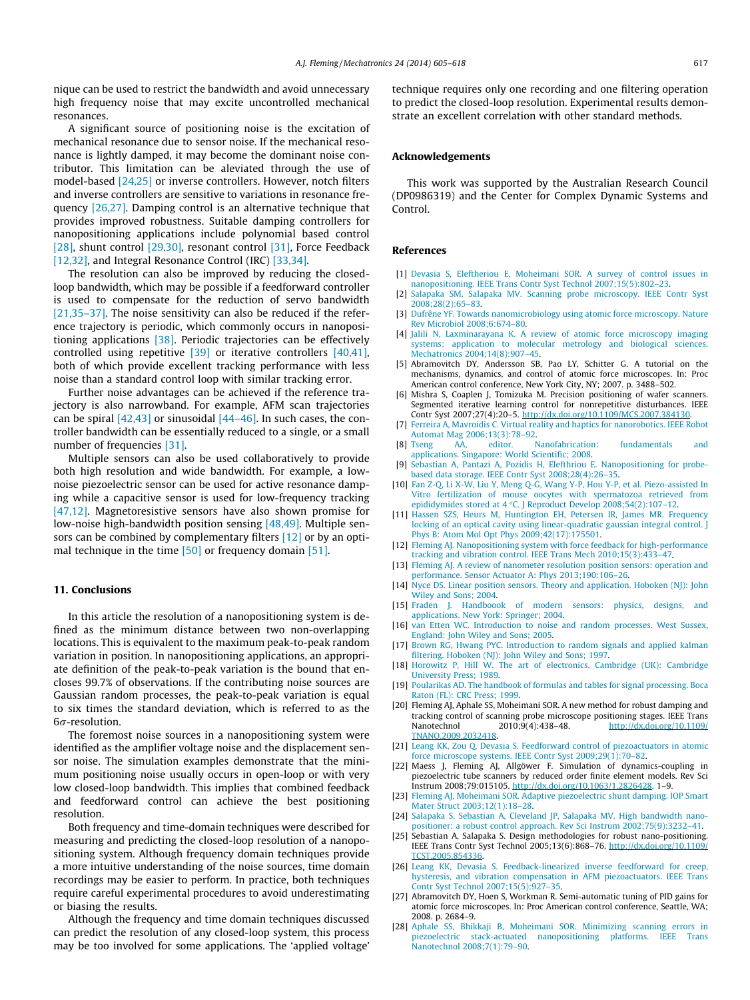<span id="page-12-0"></span>nique can be used to restrict the bandwidth and avoid unnecessary high frequency noise that may excite uncontrolled mechanical resonances.

A significant source of positioning noise is the excitation of mechanical resonance due to sensor noise. If the mechanical resonance is lightly damped, it may become the dominant noise contributor. This limitation can be aleviated through the use of model-based [24,25] or inverse controllers. However, notch filters and inverse controllers are sensitive to variations in resonance frequency [26,27]. Damping control is an alternative technique that provides improved robustness. Suitable damping controllers for nanopositioning applications include polynomial based control [28], shunt control [\[29,30\]](#page-13-0), resonant control [\[31\]](#page-13-0), Force Feedback [12,32], and Integral Resonance Control (IRC) [\[33,34\].](#page-13-0)

The resolution can also be improved by reducing the closedloop bandwidth, which may be possible if a feedforward controller is used to compensate for the reduction of servo bandwidth [21,35–37]. The noise sensitivity can also be reduced if the reference trajectory is periodic, which commonly occurs in nanopositioning applications [\[38\]](#page-13-0). Periodic trajectories can be effectively controlled using repetitive [\[39\]](#page-13-0) or iterative controllers [\[40,41\],](#page-13-0) both of which provide excellent tracking performance with less noise than a standard control loop with similar tracking error.

Further noise advantages can be achieved if the reference trajectory is also narrowband. For example, AFM scan trajectories can be spiral  $[42,43]$  or sinusoidal  $[44-46]$ . In such cases, the controller bandwidth can be essentially reduced to a single, or a small number of frequencies [\[31\].](#page-13-0)

Multiple sensors can also be used collaboratively to provide both high resolution and wide bandwidth. For example, a lownoise piezoelectric sensor can be used for active resonance damping while a capacitive sensor is used for low-frequency tracking [\[47,12\]](#page-13-0). Magnetoresistive sensors have also shown promise for low-noise high-bandwidth position sensing [\[48,49\].](#page-13-0) Multiple sensors can be combined by complementary filters [12] or by an optimal technique in the time [\[50\]](#page-13-0) or frequency domain [\[51\]](#page-13-0).

#### 11. Conclusions

In this article the resolution of a nanopositioning system is defined as the minimum distance between two non-overlapping locations. This is equivalent to the maximum peak-to-peak random variation in position. In nanopositioning applications, an appropriate definition of the peak-to-peak variation is the bound that encloses 99.7% of observations. If the contributing noise sources are Gaussian random processes, the peak-to-peak variation is equal to six times the standard deviation, which is referred to as the  $6\sigma$ -resolution

The foremost noise sources in a nanopositioning system were identified as the amplifier voltage noise and the displacement sensor noise. The simulation examples demonstrate that the minimum positioning noise usually occurs in open-loop or with very low closed-loop bandwidth. This implies that combined feedback and feedforward control can achieve the best positioning resolution.

Both frequency and time-domain techniques were described for measuring and predicting the closed-loop resolution of a nanopositioning system. Although frequency domain techniques provide a more intuitive understanding of the noise sources, time domain recordings may be easier to perform. In practice, both techniques require careful experimental procedures to avoid underestimating or biasing the results.

Although the frequency and time domain techniques discussed can predict the resolution of any closed-loop system, this process may be too involved for some applications. The 'applied voltage'

technique requires only one recording and one filtering operation to predict the closed-loop resolution. Experimental results demonstrate an excellent correlation with other standard methods.

#### Acknowledgements

This work was supported by the Australian Research Council (DP0986319) and the Center for Complex Dynamic Systems and Control.

## References

- [1] [Devasia S, Eleftheriou E, Moheimani SOR. A survey of control issues in](http://refhub.elsevier.com/S0957-4158(13)00171-2/h0005) [nanopositioning. IEEE Trans Contr Syst Technol 2007;15\(5\):802–23](http://refhub.elsevier.com/S0957-4158(13)00171-2/h0005).
- [2] [Salapaka SM, Salapaka MV. Scanning probe microscopy. IEEE Contr Syst](http://refhub.elsevier.com/S0957-4158(13)00171-2/h0010) [2008;28\(2\):65–83.](http://refhub.elsevier.com/S0957-4158(13)00171-2/h0010)
- [3] [Dufrêne YF. Towards nanomicrobiology using atomic force microscopy. Nature](http://refhub.elsevier.com/S0957-4158(13)00171-2/h0015) [Rev Microbiol 2008;6:674–80](http://refhub.elsevier.com/S0957-4158(13)00171-2/h0015).
- [4] [Jalili N, Laxminarayana K. A review of atomic force microscopy imaging](http://refhub.elsevier.com/S0957-4158(13)00171-2/h0020) [systems: application to molecular metrology and biological sciences.](http://refhub.elsevier.com/S0957-4158(13)00171-2/h0020) [Mechatronics 2004;14\(8\):907–45](http://refhub.elsevier.com/S0957-4158(13)00171-2/h0020).
- [5] Abramovitch DY, Andersson SB, Pao LY, Schitter G. A tutorial on the mechanisms, dynamics, and control of atomic force microscopes. In: Proc American control conference, New York City, NY; 2007. p. 3488–502.
- [6] Mishra S, Coaplen J, Tomizuka M. Precision positioning of wafer scanners. Segmented iterative learning control for nonrepetitive disturbances. IEEE Contr Syst 2007;27(4):20–5. <http://dx.doi.org/10.1109/MCS.2007.384130>.
- [7] [Ferreira A, Mavroidis C. Virtual reality and haptics for nanorobotics. IEEE Robot](http://refhub.elsevier.com/S0957-4158(13)00171-2/h0030) [Automat Mag 2006;13\(3\):78–92](http://refhub.elsevier.com/S0957-4158(13)00171-2/h0030).
- [8] [Tseng AA, editor. Nanofabrication: fundamentals and](http://refhub.elsevier.com/S0957-4158(13)00171-2/h0035) [applications. Singapore: World Scientific; 2008](http://refhub.elsevier.com/S0957-4158(13)00171-2/h0035).
- [9] [Sebastian A, Pantazi A, Pozidis H, Elefthriou E. Nanopositioning for probe](http://refhub.elsevier.com/S0957-4158(13)00171-2/h0040)[based data storage. IEEE Contr Syst 2008;28\(4\):26–35.](http://refhub.elsevier.com/S0957-4158(13)00171-2/h0040)
- [10] [Fan Z-Q, Li X-W, Liu Y, Meng Q-G, Wang Y-P, Hou Y-P, et al. Piezo-assisted In](http://refhub.elsevier.com/S0957-4158(13)00171-2/h0045) [Vitro fertilization of mouse oocytes with spermatozoa retrieved from](http://refhub.elsevier.com/S0957-4158(13)00171-2/h0045) epididymides stored at  $4 \degree C$ . J Reproduct Develop 2008;54(2):107-12.
- [11] [Hassen SZS, Heurs M, Huntington EH, Petersen IR, James MR. Frequency](http://refhub.elsevier.com/S0957-4158(13)00171-2/h0050) [locking of an optical cavity using linear-quadratic gaussian integral control. J](http://refhub.elsevier.com/S0957-4158(13)00171-2/h0050) [Phys B: Atom Mol Opt Phys 2009;42\(17\):175501.](http://refhub.elsevier.com/S0957-4158(13)00171-2/h0050)
- [12] [Fleming AJ. Nanopositioning system with force feedback for high-performance](http://refhub.elsevier.com/S0957-4158(13)00171-2/h0055) [tracking and vibration control. IEEE Trans Mech 2010;15\(3\):433–47.](http://refhub.elsevier.com/S0957-4158(13)00171-2/h0055)
- [13] [Fleming AJ. A review of nanometer resolution position sensors: operation and](http://refhub.elsevier.com/S0957-4158(13)00171-2/h0060) [performance. Sensor Actuator A: Phys 2013;190:106–26.](http://refhub.elsevier.com/S0957-4158(13)00171-2/h0060)
- [14] [Nyce DS. Linear position sensors. Theory and application. Hoboken \(NJ\): John](http://refhub.elsevier.com/S0957-4158(13)00171-2/h0065) [Wiley and Sons; 2004.](http://refhub.elsevier.com/S0957-4158(13)00171-2/h0065)
- [15] [Fraden J. Handboook of modern sensors: physics, designs, and](http://refhub.elsevier.com/S0957-4158(13)00171-2/h0070) [applications. New York: Springer; 2004.](http://refhub.elsevier.com/S0957-4158(13)00171-2/h0070)
- [16] [van Etten WC. Introduction to noise and random processes. West Sussex,](http://refhub.elsevier.com/S0957-4158(13)00171-2/h0075) [England: John Wiley and Sons; 2005.](http://refhub.elsevier.com/S0957-4158(13)00171-2/h0075)
- [17] [Brown RG, Hwang PYC. Introduction to random signals and applied kalman](http://refhub.elsevier.com/S0957-4158(13)00171-2/h0080) [filtering. Hoboken \(NJ\): John Wiley and Sons; 1997.](http://refhub.elsevier.com/S0957-4158(13)00171-2/h0080)
- [18] [Horowitz P, Hill W. The art of electronics. Cambridge \(UK\): Cambridge](http://refhub.elsevier.com/S0957-4158(13)00171-2/h0085) [University Press; 1989.](http://refhub.elsevier.com/S0957-4158(13)00171-2/h0085)
- [19] [Poularikas AD. The handbook of formulas and tables for signal processing. Boca](http://refhub.elsevier.com/S0957-4158(13)00171-2/h0090) [Raton \(FL\): CRC Press; 1999](http://refhub.elsevier.com/S0957-4158(13)00171-2/h0090).
- [20] Fleming AJ, Aphale SS, Moheimani SOR. A new method for robust damping and tracking control of scanning probe microscope positioning stages. IEEE Trans Nanotechnol 2010;9(4):438-48. [http://dx.doi.org/10.1109/](http://dx.doi.org/10.1109/TNANO.2009.2032418) [TNANO.2009.2032418](http://dx.doi.org/10.1109/TNANO.2009.2032418).
- [21] [Leang KK, Zou Q, Devasia S. Feedforward control of piezoactuators in atomic](http://refhub.elsevier.com/S0957-4158(13)00171-2/h0100) [force microscope systems. IEEE Contr Syst 2009;29\(1\):70–82.](http://refhub.elsevier.com/S0957-4158(13)00171-2/h0100)
- [22] Maess J, Fleming AJ, Allgöwer F. Simulation of dynamics-coupling in piezoelectric tube scanners by reduced order finite element models. Rev Sci Instrum 2008;79:015105. <http://dx.doi.org/10.1063/1.2826428>. 1–9.
- [23] [Fleming AJ, Moheimani SOR. Adaptive piezoelectric shunt damping. IOP Smart](http://refhub.elsevier.com/S0957-4158(13)00171-2/h0110) [Mater Struct 2003;12\(1\):18–28.](http://refhub.elsevier.com/S0957-4158(13)00171-2/h0110)
- [24] [Salapaka S, Sebastian A, Cleveland JP, Salapaka MV. High bandwidth nano](http://refhub.elsevier.com/S0957-4158(13)00171-2/h0115)[positioner: a robust control approach. Rev Sci Instrum 2002;75\(9\):3232–41](http://refhub.elsevier.com/S0957-4158(13)00171-2/h0115).
- [25] Sebastian A, Salapaka S. Design methodologies for robust nano-positioning. IEEE Trans Contr Syst Technol 2005;13(6):868–76. [http://dx.doi.org/10.1109/](http://dx.doi.org/10.1109/TCST.2005.854336) [TCST.2005.854336](http://dx.doi.org/10.1109/TCST.2005.854336).
- [26] [Leang KK, Devasia S. Feedback-linearized inverse feedforward for creep,](http://refhub.elsevier.com/S0957-4158(13)00171-2/h0125) [hysteresis, and vibration compensation in AFM piezoactuators. IEEE Trans](http://refhub.elsevier.com/S0957-4158(13)00171-2/h0125) [Contr Syst Technol 2007;15\(5\):927–35](http://refhub.elsevier.com/S0957-4158(13)00171-2/h0125).
- [27] Abramovitch DY, Hoen S, Workman R. Semi-automatic tuning of PID gains for atomic force microscopes. In: Proc American control conference, Seattle, WA; 2008. p. 2684–9.
- [28] [Aphale SS, Bhikkaji B, Moheimani SOR. Minimizing scanning errors in](http://refhub.elsevier.com/S0957-4158(13)00171-2/h0130) [piezoelectric stack-actuated nanopositioning platforms. IEEE Trans](http://refhub.elsevier.com/S0957-4158(13)00171-2/h0130) [Nanotechnol 2008;7\(1\):79–90.](http://refhub.elsevier.com/S0957-4158(13)00171-2/h0130)